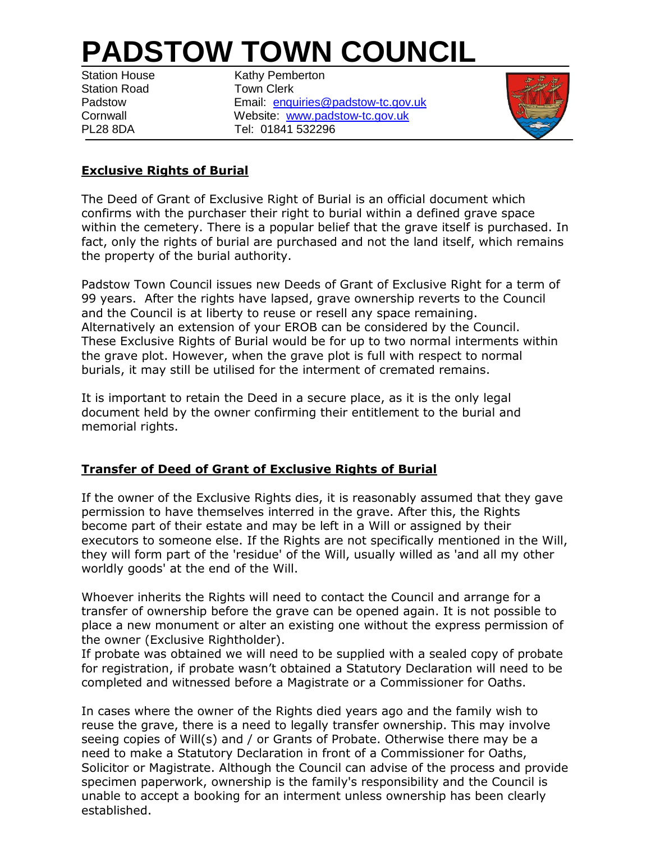# **PADSTOW TOWN COUNCIL**

Station Road **Town Clerk** 

Station House Kathy Pemberton Padstow **Email:** [enquiries@padstow-tc.gov.uk](mailto:enquiries@padstow-tc.gov.uk) Cornwall Website: [www.padstow-tc.gov.uk](http://www.padstow-tc.gov.uk/) PL28 8DA Tel: 01841 532296



## **Exclusive Rights of Burial**

The Deed of Grant of Exclusive Right of Burial is an official document which confirms with the purchaser their right to burial within a defined grave space within the cemetery. There is a popular belief that the grave itself is purchased. In fact, only the rights of burial are purchased and not the land itself, which remains the property of the burial authority.

Padstow Town Council issues new Deeds of Grant of Exclusive Right for a term of 99 years. After the rights have lapsed, grave ownership reverts to the Council and the Council is at liberty to reuse or resell any space remaining. Alternatively an extension of your EROB can be considered by the Council. These Exclusive Rights of Burial would be for up to two normal interments within the grave plot. However, when the grave plot is full with respect to normal burials, it may still be utilised for the interment of cremated remains.

It is important to retain the Deed in a secure place, as it is the only legal document held by the owner confirming their entitlement to the burial and memorial rights.

## **Transfer of Deed of Grant of Exclusive Rights of Burial**

If the owner of the Exclusive Rights dies, it is reasonably assumed that they gave permission to have themselves interred in the grave. After this, the Rights become part of their estate and may be left in a Will or assigned by their executors to someone else. If the Rights are not specifically mentioned in the Will, they will form part of the 'residue' of the Will, usually willed as 'and all my other worldly goods' at the end of the Will.

Whoever inherits the Rights will need to contact the Council and arrange for a transfer of ownership before the grave can be opened again. It is not possible to place a new monument or alter an existing one without the express permission of the owner (Exclusive Rightholder).

If probate was obtained we will need to be supplied with a sealed copy of probate for registration, if probate wasn't obtained a Statutory Declaration will need to be completed and witnessed before a Magistrate or a Commissioner for Oaths.

In cases where the owner of the Rights died years ago and the family wish to reuse the grave, there is a need to legally transfer ownership. This may involve seeing copies of Will(s) and / or Grants of Probate. Otherwise there may be a need to make a Statutory Declaration in front of a Commissioner for Oaths, Solicitor or Magistrate. Although the Council can advise of the process and provide specimen paperwork, ownership is the family's responsibility and the Council is unable to accept a booking for an interment unless ownership has been clearly established.